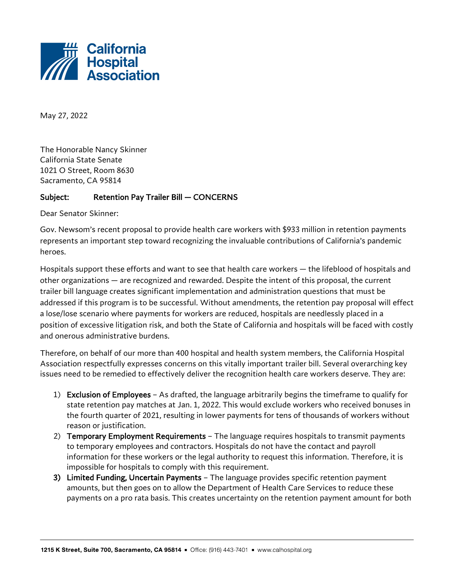

May 27, 2022

The Honorable Nancy Skinner California State Senate 1021 O Street, Room 8630 Sacramento, CA 95814

## Subject: Retention Pay Trailer Bill — CONCERNS

Dear Senator Skinner:

Gov. Newsom's recent proposal to provide health care workers with \$933 million in retention payments represents an important step toward recognizing the invaluable contributions of California's pandemic heroes.

Hospitals support these efforts and want to see that health care workers — the lifeblood of hospitals and other organizations — are recognized and rewarded. Despite the intent of this proposal, the current trailer bill language creates significant implementation and administration questions that must be addressed if this program is to be successful. Without amendments, the retention pay proposal will effect a lose/lose scenario where payments for workers are reduced, hospitals are needlessly placed in a position of excessive litigation risk, and both the State of California and hospitals will be faced with costly and onerous administrative burdens.

Therefore, on behalf of our more than 400 hospital and health system members, the California Hospital Association respectfully expresses concerns on this vitally important trailer bill. Several overarching key issues need to be remedied to effectively deliver the recognition health care workers deserve. They are:

- 1) Exclusion of Employees As drafted, the language arbitrarily begins the timeframe to qualify for state retention pay matches at Jan. 1, 2022. This would exclude workers who received bonuses in the fourth quarter of 2021, resulting in lower payments for tens of thousands of workers without reason or justification.
- 2) Temporary Employment Requirements The language requires hospitals to transmit payments to temporary employees and contractors. Hospitals do not have the contact and payroll information for these workers or the legal authority to request this information. Therefore, it is impossible for hospitals to comply with this requirement.
- 3) Limited Funding, Uncertain Payments The language provides specific retention payment amounts, but then goes on to allow the Department of Health Care Services to reduce these payments on a pro rata basis. This creates uncertainty on the retention payment amount for both